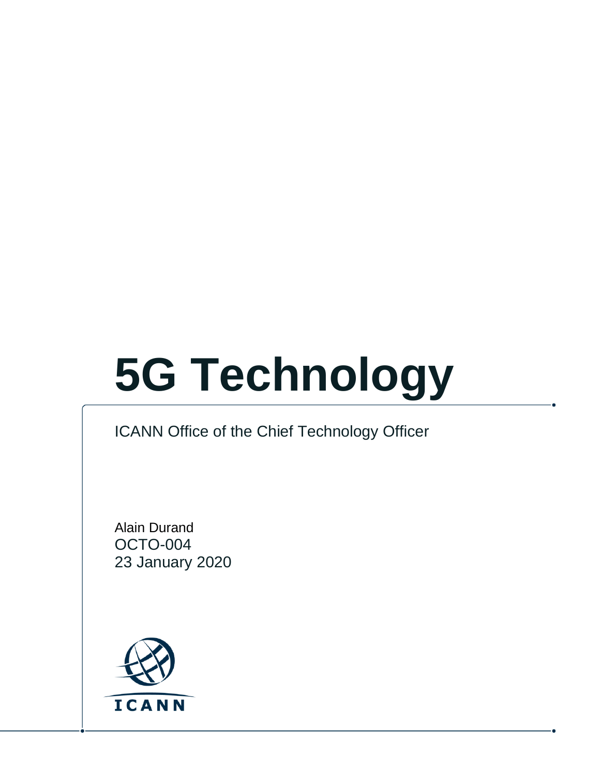# **5G Technology**

#### ICANN Office of the Chief Technology Officer

Alain Durand OCTO-004 23 January 2020

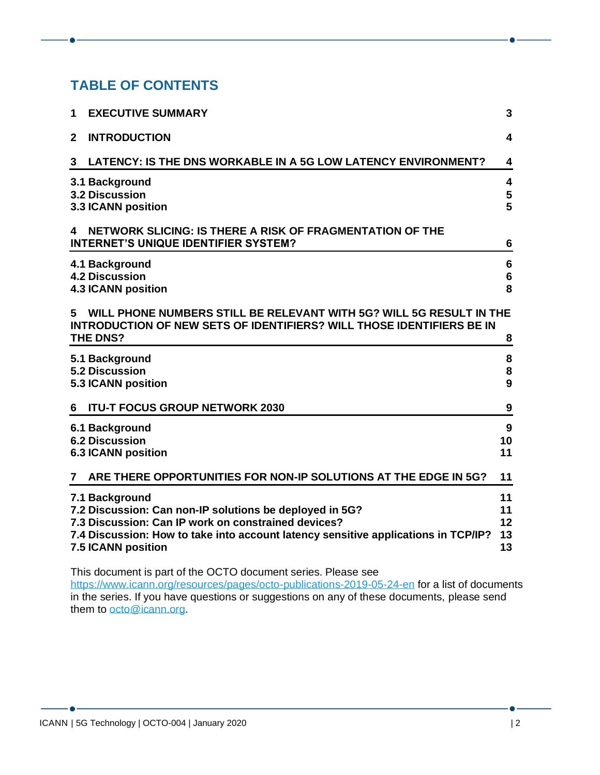#### **TABLE OF CONTENTS**

| 1                                                                                                                                                                                 | <b>EXECUTIVE SUMMARY</b>                                                                                                         | 3                                       |
|-----------------------------------------------------------------------------------------------------------------------------------------------------------------------------------|----------------------------------------------------------------------------------------------------------------------------------|-----------------------------------------|
| 2                                                                                                                                                                                 | <b>INTRODUCTION</b>                                                                                                              | 4                                       |
| 3                                                                                                                                                                                 | LATENCY: IS THE DNS WORKABLE IN A 5G LOW LATENCY ENVIRONMENT?                                                                    | 4                                       |
|                                                                                                                                                                                   | 3.1 Background<br><b>3.2 Discussion</b><br>3.3 ICANN position                                                                    | 4<br>5<br>5                             |
| 4                                                                                                                                                                                 | NETWORK SLICING: IS THERE A RISK OF FRAGMENTATION OF THE<br><b>INTERNET'S UNIQUE IDENTIFIER SYSTEM?</b>                          | 6                                       |
|                                                                                                                                                                                   | 4.1 Background<br><b>4.2 Discussion</b><br><b>4.3 ICANN position</b>                                                             | $6\phantom{1}6$<br>$6\phantom{1}6$<br>8 |
| WILL PHONE NUMBERS STILL BE RELEVANT WITH 5G? WILL 5G RESULT IN THE<br>5.<br><b>INTRODUCTION OF NEW SETS OF IDENTIFIERS? WILL THOSE IDENTIFIERS BE IN</b><br><b>THE DNS?</b><br>8 |                                                                                                                                  |                                         |
|                                                                                                                                                                                   | 5.1 Background<br>5.2 Discussion<br>5.3 ICANN position                                                                           | 8<br>8<br>9                             |
| 6                                                                                                                                                                                 | <b>ITU-T FOCUS GROUP NETWORK 2030</b>                                                                                            | 9                                       |
|                                                                                                                                                                                   | 6.1 Background<br><b>6.2 Discussion</b><br><b>6.3 ICANN position</b>                                                             | 9<br>10<br>11                           |
| 7                                                                                                                                                                                 | ARE THERE OPPORTUNITIES FOR NON-IP SOLUTIONS AT THE EDGE IN 5G?                                                                  | 11                                      |
|                                                                                                                                                                                   | 7.1 Background<br>7.2 Discussion: Can non-IP solutions be deployed in 5G?<br>7.3 Discussion: Can IP work on constrained devices? | 11<br>11<br>12                          |

This document is part of the OCTO document series. Please see

<u> 1990 - Johann Barbara, martx</u>

<https://www.icann.org/resources/pages/octo-publications-2019-05-24-en> for a list of documents in the series. If you have questions or suggestions on any of these documents, please send them to **octo**@icann.org.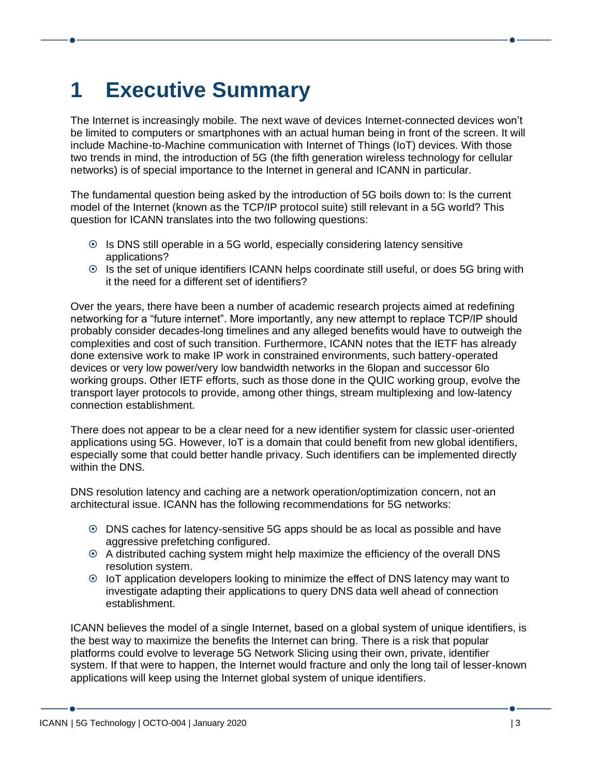## <span id="page-2-0"></span>**1 Executive Summary**

The Internet is increasingly mobile. The next wave of devices Internet-connected devices won't be limited to computers or smartphones with an actual human being in front of the screen. It will include Machine-to-Machine communication with Internet of Things (IoT) devices. With those two trends in mind, the introduction of 5G (the fifth generation wireless technology for cellular networks) is of special importance to the Internet in general and ICANN in particular.

The fundamental question being asked by the introduction of 5G boils down to: Is the current model of the Internet (known as the TCP/IP protocol suite) still relevant in a 5G world? This question for ICANN translates into the two following questions:

- Is DNS still operable in a 5G world, especially considering latency sensitive applications?
- $\odot$  Is the set of unique identifiers ICANN helps coordinate still useful, or does 5G bring with it the need for a different set of identifiers?

Over the years, there have been a number of academic research projects aimed at redefining networking for a "future internet". More importantly, any new attempt to replace TCP/IP should probably consider decades-long timelines and any alleged benefits would have to outweigh the complexities and cost of such transition. Furthermore, ICANN notes that the IETF has already done extensive work to make IP work in constrained environments, such battery-operated devices or very low power/very low bandwidth networks in the 6lopan and successor 6lo working groups. Other IETF efforts, such as those done in the QUIC working group, evolve the transport layer protocols to provide, among other things, stream multiplexing and low-latency connection establishment.

There does not appear to be a clear need for a new identifier system for classic user-oriented applications using 5G. However, IoT is a domain that could benefit from new global identifiers, especially some that could better handle privacy. Such identifiers can be implemented directly within the DNS.

DNS resolution latency and caching are a network operation/optimization concern, not an architectural issue. ICANN has the following recommendations for 5G networks:

- DNS caches for latency-sensitive 5G apps should be as local as possible and have aggressive prefetching configured.
- A distributed caching system might help maximize the efficiency of the overall DNS resolution system.
- IoT application developers looking to minimize the effect of DNS latency may want to investigate adapting their applications to query DNS data well ahead of connection establishment.

ICANN believes the model of a single Internet, based on a global system of unique identifiers, is the best way to maximize the benefits the Internet can bring. There is a risk that popular platforms could evolve to leverage 5G Network Slicing using their own, private, identifier system. If that were to happen, the Internet would fracture and only the long tail of lesser-known applications will keep using the Internet global system of unique identifiers.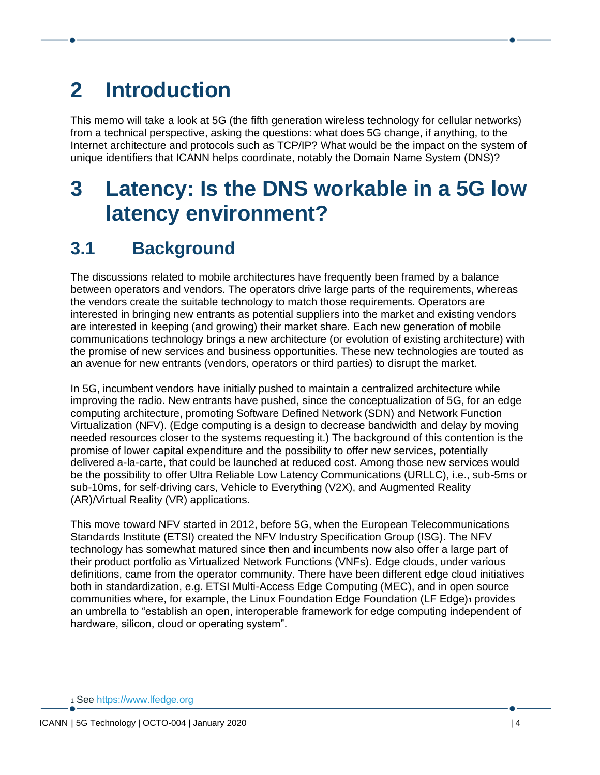# <span id="page-3-0"></span>**2 Introduction**

This memo will take a look at 5G (the fifth generation wireless technology for cellular networks) from a technical perspective, asking the questions: what does 5G change, if anything, to the Internet architecture and protocols such as TCP/IP? What would be the impact on the system of unique identifiers that ICANN helps coordinate, notably the Domain Name System (DNS)?

## <span id="page-3-1"></span>**3 Latency: Is the DNS workable in a 5G low latency environment?**

#### <span id="page-3-2"></span>**3.1 Background**

The discussions related to mobile architectures have frequently been framed by a balance between operators and vendors. The operators drive large parts of the requirements, whereas the vendors create the suitable technology to match those requirements. Operators are interested in bringing new entrants as potential suppliers into the market and existing vendors are interested in keeping (and growing) their market share. Each new generation of mobile communications technology brings a new architecture (or evolution of existing architecture) with the promise of new services and business opportunities. These new technologies are touted as an avenue for new entrants (vendors, operators or third parties) to disrupt the market.

In 5G, incumbent vendors have initially pushed to maintain a centralized architecture while improving the radio. New entrants have pushed, since the conceptualization of 5G, for an edge computing architecture, promoting Software Defined Network (SDN) and Network Function Virtualization (NFV). (Edge computing is a design to decrease bandwidth and delay by moving needed resources closer to the systems requesting it.) The background of this contention is the promise of lower capital expenditure and the possibility to offer new services, potentially delivered a-la-carte, that could be launched at reduced cost. Among those new services would be the possibility to offer Ultra Reliable Low Latency Communications (URLLC), i.e., sub-5ms or sub-10ms, for self-driving cars, Vehicle to Everything (V2X), and Augmented Reality (AR)/Virtual Reality (VR) applications.

This move toward NFV started in 2012, before 5G, when the European Telecommunications Standards Institute (ETSI) created the NFV Industry Specification Group (ISG). The NFV technology has somewhat matured since then and incumbents now also offer a large part of their product portfolio as Virtualized Network Functions (VNFs). Edge clouds, under various definitions, came from the operator community. There have been different edge cloud initiatives both in standardization, e.g. ETSI Multi-Access Edge Computing (MEC), and in open source communities where, for example, the Linux Foundation Edge Foundation (LF Edge)<sub>1</sub> provides an umbrella to "establish an open, interoperable framework for edge computing independent of hardware, silicon, cloud or operating system".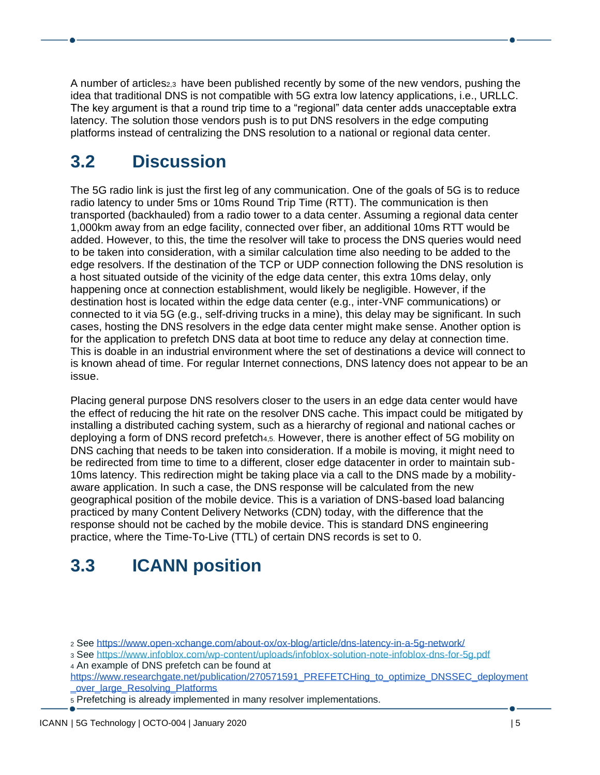A number of articles<sub>2,3</sub> have been published recently by some of the new vendors, pushing the idea that traditional DNS is not compatible with 5G extra low latency applications, i.e., URLLC. The key argument is that a round trip time to a "regional" data center adds unacceptable extra latency. The solution those vendors push is to put DNS resolvers in the edge computing platforms instead of centralizing the DNS resolution to a national or regional data center.

### <span id="page-4-0"></span>**3.2 Discussion**

The 5G radio link is just the first leg of any communication. One of the goals of 5G is to reduce radio latency to under 5ms or 10ms Round Trip Time (RTT). The communication is then transported (backhauled) from a radio tower to a data center. Assuming a regional data center 1,000km away from an edge facility, connected over fiber, an additional 10ms RTT would be added. However, to this, the time the resolver will take to process the DNS queries would need to be taken into consideration, with a similar calculation time also needing to be added to the edge resolvers. If the destination of the TCP or UDP connection following the DNS resolution is a host situated outside of the vicinity of the edge data center, this extra 10ms delay, only happening once at connection establishment, would likely be negligible. However, if the destination host is located within the edge data center (e.g., inter-VNF communications) or connected to it via 5G (e.g., self-driving trucks in a mine), this delay may be significant. In such cases, hosting the DNS resolvers in the edge data center might make sense. Another option is for the application to prefetch DNS data at boot time to reduce any delay at connection time. This is doable in an industrial environment where the set of destinations a device will connect to is known ahead of time. For regular Internet connections, DNS latency does not appear to be an issue.

Placing general purpose DNS resolvers closer to the users in an edge data center would have the effect of reducing the hit rate on the resolver DNS cache. This impact could be mitigated by installing a distributed caching system, such as a hierarchy of regional and national caches or deploying a form of DNS record prefetch<sub>4,5</sub>. However, there is another effect of 5G mobility on DNS caching that needs to be taken into consideration. If a mobile is moving, it might need to be redirected from time to time to a different, closer edge datacenter in order to maintain sub-10ms latency. This redirection might be taking place via a call to the DNS made by a mobilityaware application. In such a case, the DNS response will be calculated from the new geographical position of the mobile device. This is a variation of DNS-based load balancing practiced by many Content Delivery Networks (CDN) today, with the difference that the response should not be cached by the mobile device. This is standard DNS engineering practice, where the Time-To-Live (TTL) of certain DNS records is set to 0.

## <span id="page-4-1"></span>**3.3 ICANN position**

<sup>4</sup> An example of DNS prefetch can be found at [https://www.researchgate.net/publication/270571591\\_PREFETCHing\\_to\\_optimize\\_DNSSEC\\_deployment](https://www.researchgate.net/publication/270571591_PREFETCHing_to_optimize_DNSSEC_deployment_over_large_Resolving_Platforms) [\\_over\\_large\\_Resolving\\_Platforms](https://www.researchgate.net/publication/270571591_PREFETCHing_to_optimize_DNSSEC_deployment_over_large_Resolving_Platforms)

<sup>5</sup> Prefetching is already implemented in many resolver implementations.

<sup>2</sup> See<https://www.open-xchange.com/about-ox/ox-blog/article/dns-latency-in-a-5g-network/>

<sup>3</sup> See<https://www.infoblox.com/wp-content/uploads/infoblox-solution-note-infoblox-dns-for-5g.pdf>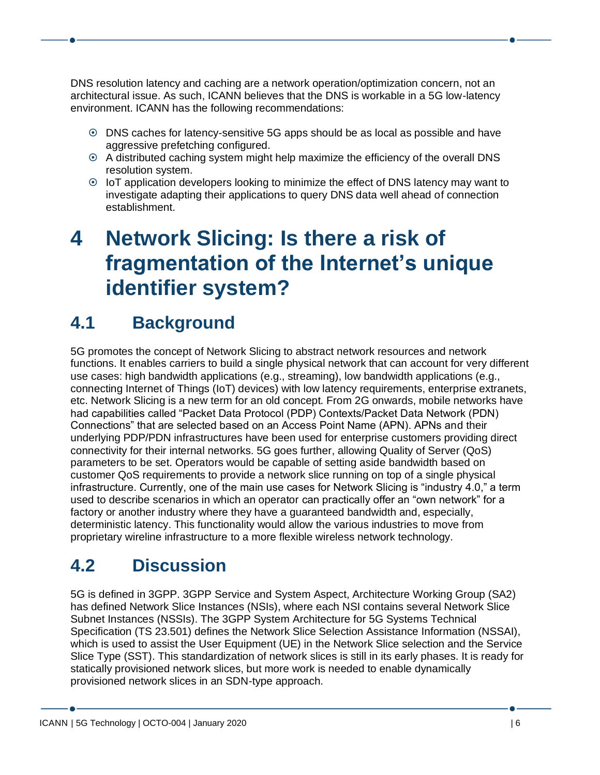DNS resolution latency and caching are a network operation/optimization concern, not an architectural issue. As such, ICANN believes that the DNS is workable in a 5G low-latency environment. ICANN has the following recommendations:

- DNS caches for latency-sensitive 5G apps should be as local as possible and have aggressive prefetching configured.
- A distributed caching system might help maximize the efficiency of the overall DNS resolution system.
- IoT application developers looking to minimize the effect of DNS latency may want to investigate adapting their applications to query DNS data well ahead of connection establishment.

## <span id="page-5-0"></span>**4 Network Slicing: Is there a risk of fragmentation of the Internet's unique identifier system?**

#### <span id="page-5-1"></span>**4.1 Background**

5G promotes the concept of Network Slicing to abstract network resources and network functions. It enables carriers to build a single physical network that can account for very different use cases: high bandwidth applications (e.g., streaming), low bandwidth applications (e.g., connecting Internet of Things (IoT) devices) with low latency requirements, enterprise extranets, etc. Network Slicing is a new term for an old concept. From 2G onwards, mobile networks have had capabilities called "Packet Data Protocol (PDP) Contexts/Packet Data Network (PDN) Connections" that are selected based on an Access Point Name (APN). APNs and their underlying PDP/PDN infrastructures have been used for enterprise customers providing direct connectivity for their internal networks. 5G goes further, allowing Quality of Server (QoS) parameters to be set. Operators would be capable of setting aside bandwidth based on customer QoS requirements to provide a network slice running on top of a single physical infrastructure. Currently, one of the main use cases for Network Slicing is "industry 4.0," a term used to describe scenarios in which an operator can practically offer an "own network" for a factory or another industry where they have a guaranteed bandwidth and, especially, deterministic latency. This functionality would allow the various industries to move from proprietary wireline infrastructure to a more flexible wireless network technology.

#### <span id="page-5-2"></span>**4.2 Discussion**

5G is defined in 3GPP. 3GPP Service and System Aspect, Architecture Working Group (SA2) has defined Network Slice Instances (NSIs), where each NSI contains several Network Slice Subnet Instances (NSSIs). The 3GPP System Architecture for 5G Systems Technical Specification (TS 23.501) defines the Network Slice Selection Assistance Information (NSSAI), which is used to assist the User Equipment (UE) in the Network Slice selection and the Service Slice Type (SST). This standardization of network slices is still in its early phases. It is ready for statically provisioned network slices, but more work is needed to enable dynamically provisioned network slices in an SDN-type approach.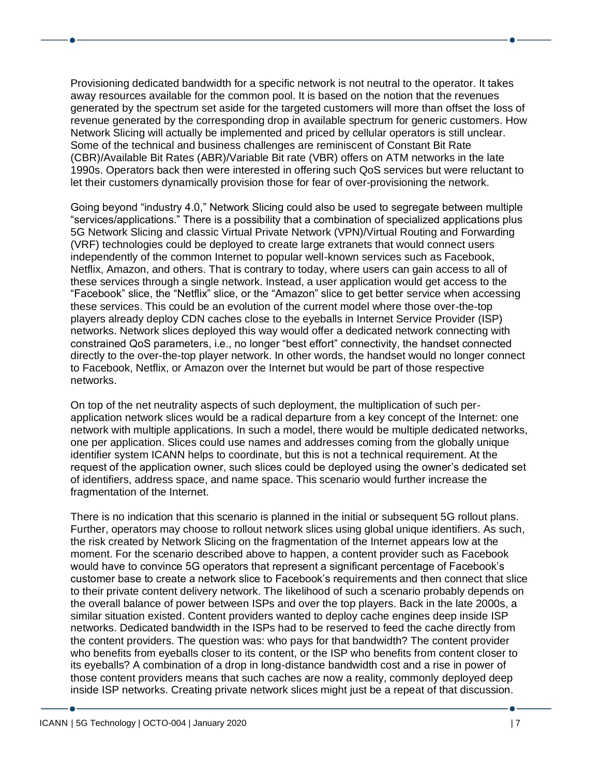Provisioning dedicated bandwidth for a specific network is not neutral to the operator. It takes away resources available for the common pool. It is based on the notion that the revenues generated by the spectrum set aside for the targeted customers will more than offset the loss of revenue generated by the corresponding drop in available spectrum for generic customers. How Network Slicing will actually be implemented and priced by cellular operators is still unclear. Some of the technical and business challenges are reminiscent of Constant Bit Rate (CBR)/Available Bit Rates (ABR)/Variable Bit rate (VBR) offers on ATM networks in the late 1990s. Operators back then were interested in offering such QoS services but were reluctant to let their customers dynamically provision those for fear of over-provisioning the network.

Going beyond "industry 4.0," Network Slicing could also be used to segregate between multiple "services/applications." There is a possibility that a combination of specialized applications plus 5G Network Slicing and classic Virtual Private Network (VPN)/Virtual Routing and Forwarding (VRF) technologies could be deployed to create large extranets that would connect users independently of the common Internet to popular well-known services such as Facebook, Netflix, Amazon, and others. That is contrary to today, where users can gain access to all of these services through a single network. Instead, a user application would get access to the "Facebook" slice, the "Netflix" slice, or the "Amazon" slice to get better service when accessing these services. This could be an evolution of the current model where those over-the-top players already deploy CDN caches close to the eyeballs in Internet Service Provider (ISP) networks. Network slices deployed this way would offer a dedicated network connecting with constrained QoS parameters, i.e., no longer "best effort" connectivity, the handset connected directly to the over-the-top player network. In other words, the handset would no longer connect to Facebook, Netflix, or Amazon over the Internet but would be part of those respective networks.

On top of the net neutrality aspects of such deployment, the multiplication of such perapplication network slices would be a radical departure from a key concept of the Internet: one network with multiple applications. In such a model, there would be multiple dedicated networks, one per application. Slices could use names and addresses coming from the globally unique identifier system ICANN helps to coordinate, but this is not a technical requirement. At the request of the application owner, such slices could be deployed using the owner's dedicated set of identifiers, address space, and name space. This scenario would further increase the fragmentation of the Internet.

There is no indication that this scenario is planned in the initial or subsequent 5G rollout plans. Further, operators may choose to rollout network slices using global unique identifiers. As such, the risk created by Network Slicing on the fragmentation of the Internet appears low at the moment. For the scenario described above to happen, a content provider such as Facebook would have to convince 5G operators that represent a significant percentage of Facebook's customer base to create a network slice to Facebook's requirements and then connect that slice to their private content delivery network. The likelihood of such a scenario probably depends on the overall balance of power between ISPs and over the top players. Back in the late 2000s, a similar situation existed. Content providers wanted to deploy cache engines deep inside ISP networks. Dedicated bandwidth in the ISPs had to be reserved to feed the cache directly from the content providers. The question was: who pays for that bandwidth? The content provider who benefits from eyeballs closer to its content, or the ISP who benefits from content closer to its eyeballs? A combination of a drop in long-distance bandwidth cost and a rise in power of those content providers means that such caches are now a reality, commonly deployed deep inside ISP networks. Creating private network slices might just be a repeat of that discussion.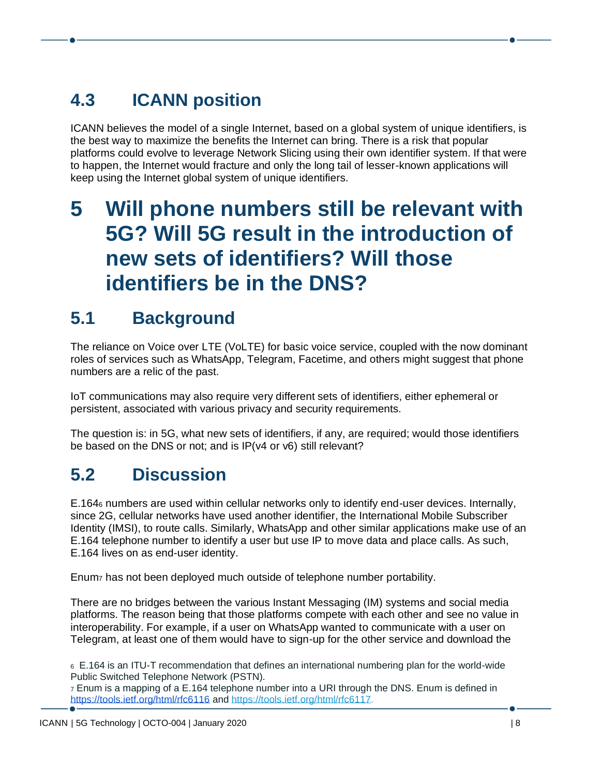### <span id="page-7-0"></span>**4.3 ICANN position**

ICANN believes the model of a single Internet, based on a global system of unique identifiers, is the best way to maximize the benefits the Internet can bring. There is a risk that popular platforms could evolve to leverage Network Slicing using their own identifier system. If that were to happen, the Internet would fracture and only the long tail of lesser-known applications will keep using the Internet global system of unique identifiers.

## <span id="page-7-1"></span>**5 Will phone numbers still be relevant with 5G? Will 5G result in the introduction of new sets of identifiers? Will those identifiers be in the DNS?**

#### <span id="page-7-2"></span>**5.1 Background**

The reliance on Voice over LTE (VoLTE) for basic voice service, coupled with the now dominant roles of services such as WhatsApp, Telegram, Facetime, and others might suggest that phone numbers are a relic of the past.

IoT communications may also require very different sets of identifiers, either ephemeral or persistent, associated with various privacy and security requirements.

The question is: in 5G, what new sets of identifiers, if any, are required; would those identifiers be based on the DNS or not; and is IP(v4 or v6) still relevant?

#### <span id="page-7-3"></span>**5.2 Discussion**

E.164<sup>6</sup> numbers are used within cellular networks only to identify end-user devices. Internally, since 2G, cellular networks have used another identifier, the International Mobile Subscriber Identity (IMSI), to route calls. Similarly, WhatsApp and other similar applications make use of an E.164 telephone number to identify a user but use IP to move data and place calls. As such, E.164 lives on as end-user identity.

Enum<sup>7</sup> has not been deployed much outside of telephone number portability.

There are no bridges between the various Instant Messaging (IM) systems and social media platforms. The reason being that those platforms compete with each other and see no value in interoperability. For example, if a user on WhatsApp wanted to communicate with a user on Telegram, at least one of them would have to sign-up for the other service and download the

<sup>6</sup> E.164 is an ITU-T recommendation that defines an international numbering plan for the world-wide Public Switched Telephone Network (PSTN).

<sup>7</sup> Enum is a mapping of a E.164 telephone number into a URI through the DNS. Enum is defined in <https://tools.ietf.org/html/rfc6116> and [https://tools.ietf.org/html/rfc6117.](https://tools.ietf.org/html/rfc6117)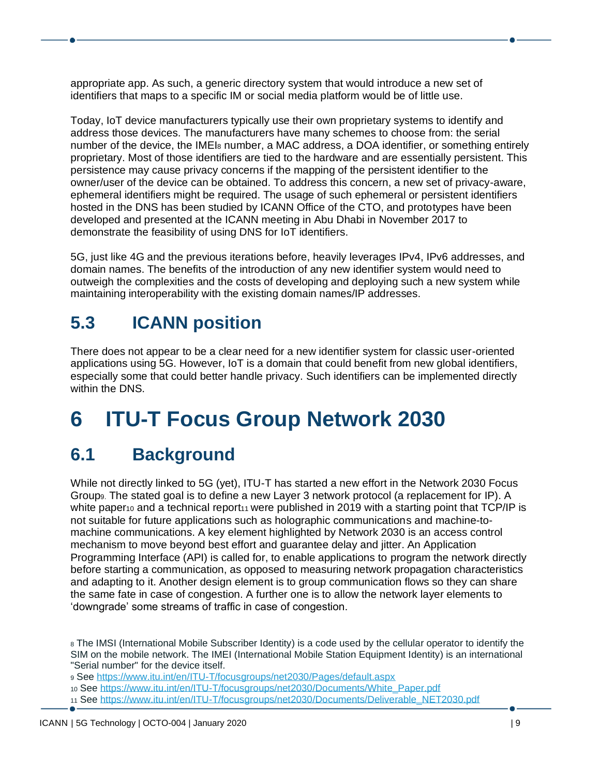appropriate app. As such, a generic directory system that would introduce a new set of identifiers that maps to a specific IM or social media platform would be of little use.

Today, IoT device manufacturers typically use their own proprietary systems to identify and address those devices. The manufacturers have many schemes to choose from: the serial number of the device, the IMEI<sup>8</sup> number, a MAC address, a DOA identifier, or something entirely proprietary. Most of those identifiers are tied to the hardware and are essentially persistent. This persistence may cause privacy concerns if the mapping of the persistent identifier to the owner/user of the device can be obtained. To address this concern, a new set of privacy-aware, ephemeral identifiers might be required. The usage of such ephemeral or persistent identifiers hosted in the DNS has been studied by ICANN Office of the CTO, and prototypes have been developed and presented at the ICANN meeting in Abu Dhabi in November 2017 to demonstrate the feasibility of using DNS for IoT identifiers.

5G, just like 4G and the previous iterations before, heavily leverages IPv4, IPv6 addresses, and domain names. The benefits of the introduction of any new identifier system would need to outweigh the complexities and the costs of developing and deploying such a new system while maintaining interoperability with the existing domain names/IP addresses.

#### <span id="page-8-0"></span>**5.3 ICANN position**

There does not appear to be a clear need for a new identifier system for classic user-oriented applications using 5G. However, IoT is a domain that could benefit from new global identifiers, especially some that could better handle privacy. Such identifiers can be implemented directly within the DNS.

## <span id="page-8-1"></span>**6 ITU-T Focus Group Network 2030**

#### <span id="page-8-2"></span>**6.1 Background**

While not directly linked to 5G (yet), ITU-T has started a new effort in the Network 2030 Focus Group9. The stated goal is to define a new Layer 3 network protocol (a replacement for IP). A white paper<sub>10</sub> and a technical report<sub>11</sub> were published in 2019 with a starting point that TCP/IP is not suitable for future applications such as holographic communications and machine-tomachine communications. A key element highlighted by Network 2030 is an access control mechanism to move beyond best effort and guarantee delay and jitter. An Application Programming Interface (API) is called for, to enable applications to program the network directly before starting a communication, as opposed to measuring network propagation characteristics and adapting to it. Another design element is to group communication flows so they can share the same fate in case of congestion. A further one is to allow the network layer elements to 'downgrade' some streams of traffic in case of congestion.

<sup>8</sup> The IMSI (International Mobile Subscriber Identity) is a code used by the cellular operator to identify the SIM on the mobile network. The IMEI (International Mobile Station Equipment Identity) is an international "Serial number" for the device itself.

<sup>9</sup> See<https://www.itu.int/en/ITU-T/focusgroups/net2030/Pages/default.aspx>

<sup>10</sup> See [https://www.itu.int/en/ITU-T/focusgroups/net2030/Documents/White\\_Paper.pdf](https://www.itu.int/en/ITU-T/focusgroups/net2030/Documents/White_Paper.pdf)

<sup>11</sup> See [https://www.itu.int/en/ITU-T/focusgroups/net2030/Documents/Deliverable\\_NET2030.pdf](https://www.itu.int/en/ITU-T/focusgroups/net2030/Documents/Deliverable_NET2030.pdf)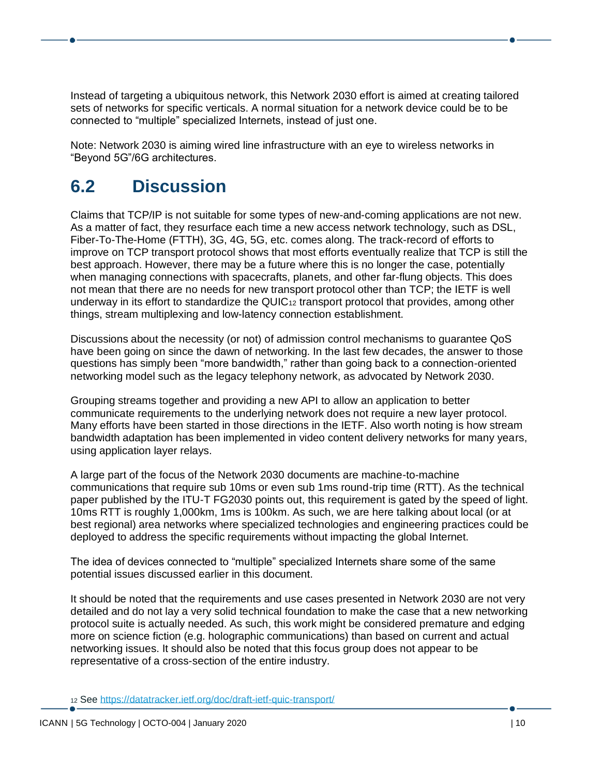Instead of targeting a ubiquitous network, this Network 2030 effort is aimed at creating tailored sets of networks for specific verticals. A normal situation for a network device could be to be connected to "multiple" specialized Internets, instead of just one.

Note: Network 2030 is aiming wired line infrastructure with an eye to wireless networks in "Beyond 5G"/6G architectures.

#### <span id="page-9-0"></span>**6.2 Discussion**

Claims that TCP/IP is not suitable for some types of new-and-coming applications are not new. As a matter of fact, they resurface each time a new access network technology, such as DSL, Fiber-To-The-Home (FTTH), 3G, 4G, 5G, etc. comes along. The track-record of efforts to improve on TCP transport protocol shows that most efforts eventually realize that TCP is still the best approach. However, there may be a future where this is no longer the case, potentially when managing connections with spacecrafts, planets, and other far-flung objects. This does not mean that there are no needs for new transport protocol other than TCP; the IETF is well underway in its effort to standardize the QUIC $_{12}$  transport protocol that provides, among other things, stream multiplexing and low-latency connection establishment.

Discussions about the necessity (or not) of admission control mechanisms to guarantee QoS have been going on since the dawn of networking. In the last few decades, the answer to those questions has simply been "more bandwidth," rather than going back to a connection-oriented networking model such as the legacy telephony network, as advocated by Network 2030.

Grouping streams together and providing a new API to allow an application to better communicate requirements to the underlying network does not require a new layer protocol. Many efforts have been started in those directions in the IETF. Also worth noting is how stream bandwidth adaptation has been implemented in video content delivery networks for many years, using application layer relays.

A large part of the focus of the Network 2030 documents are machine-to-machine communications that require sub 10ms or even sub 1ms round-trip time (RTT). As the technical paper published by the ITU-T FG2030 points out, this requirement is gated by the speed of light. 10ms RTT is roughly 1,000km, 1ms is 100km. As such, we are here talking about local (or at best regional) area networks where specialized technologies and engineering practices could be deployed to address the specific requirements without impacting the global Internet.

The idea of devices connected to "multiple" specialized Internets share some of the same potential issues discussed earlier in this document.

It should be noted that the requirements and use cases presented in Network 2030 are not very detailed and do not lay a very solid technical foundation to make the case that a new networking protocol suite is actually needed. As such, this work might be considered premature and edging more on science fiction (e.g. holographic communications) than based on current and actual networking issues. It should also be noted that this focus group does not appear to be representative of a cross-section of the entire industry.

<sup>12</sup> See<https://datatracker.ietf.org/doc/draft-ietf-quic-transport/>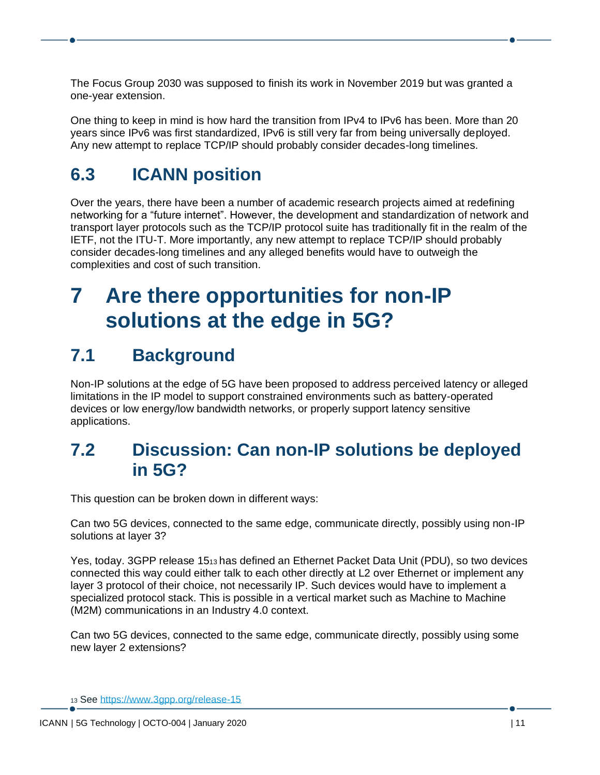The Focus Group 2030 was supposed to finish its work in November 2019 but was granted a one-year extension.

One thing to keep in mind is how hard the transition from IPv4 to IPv6 has been. More than 20 years since IPv6 was first standardized, IPv6 is still very far from being universally deployed. Any new attempt to replace TCP/IP should probably consider decades-long timelines.

### <span id="page-10-0"></span>**6.3 ICANN position**

Over the years, there have been a number of academic research projects aimed at redefining networking for a "future internet". However, the development and standardization of network and transport layer protocols such as the TCP/IP protocol suite has traditionally fit in the realm of the IETF, not the ITU-T. More importantly, any new attempt to replace TCP/IP should probably consider decades-long timelines and any alleged benefits would have to outweigh the complexities and cost of such transition.

## <span id="page-10-1"></span>**7 Are there opportunities for non-IP solutions at the edge in 5G?**

#### <span id="page-10-2"></span>**7.1 Background**

Non-IP solutions at the edge of 5G have been proposed to address perceived latency or alleged limitations in the IP model to support constrained environments such as battery-operated devices or low energy/low bandwidth networks, or properly support latency sensitive applications.

#### <span id="page-10-3"></span>**7.2 Discussion: Can non-IP solutions be deployed in 5G?**

This question can be broken down in different ways:

Can two 5G devices, connected to the same edge, communicate directly, possibly using non-IP solutions at layer 3?

Yes, today. 3GPP release 15<sup>13</sup> has defined an Ethernet Packet Data Unit (PDU), so two devices connected this way could either talk to each other directly at L2 over Ethernet or implement any layer 3 protocol of their choice, not necessarily IP. Such devices would have to implement a specialized protocol stack. This is possible in a vertical market such as Machine to Machine (M2M) communications in an Industry 4.0 context.

Can two 5G devices, connected to the same edge, communicate directly, possibly using some new layer 2 extensions?

<sup>13</sup> See<https://www.3gpp.org/release-15>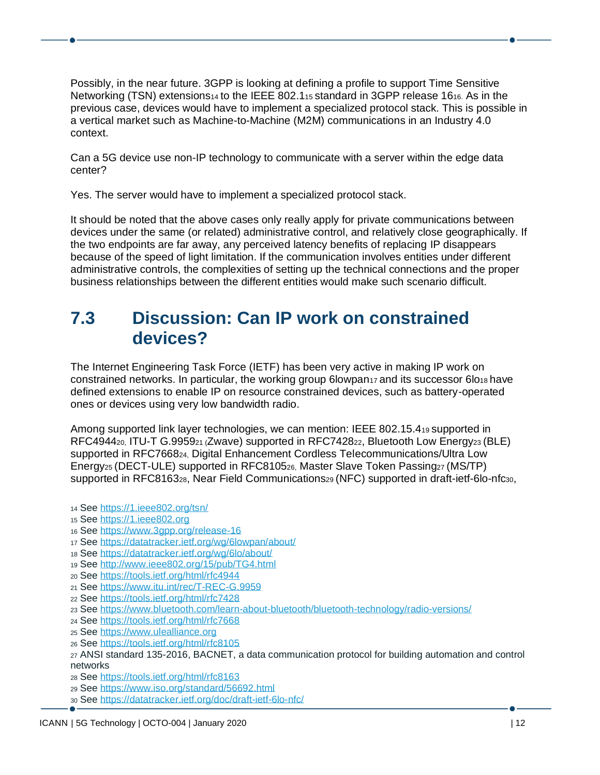Possibly, in the near future. 3GPP is looking at defining a profile to support Time Sensitive Networking (TSN) extensions<sub>14</sub> to the IEEE 802.1<sub>15</sub> standard in 3GPP release 16<sub>16</sub>. As in the previous case, devices would have to implement a specialized protocol stack. This is possible in a vertical market such as Machine-to-Machine (M2M) communications in an Industry 4.0 context.

Can a 5G device use non-IP technology to communicate with a server within the edge data center?

Yes. The server would have to implement a specialized protocol stack.

It should be noted that the above cases only really apply for private communications between devices under the same (or related) administrative control, and relatively close geographically. If the two endpoints are far away, any perceived latency benefits of replacing IP disappears because of the speed of light limitation. If the communication involves entities under different administrative controls, the complexities of setting up the technical connections and the proper business relationships between the different entities would make such scenario difficult.

#### <span id="page-11-0"></span>**7.3 Discussion: Can IP work on constrained devices?**

The [Internet Engineering Task Force](https://ietf.org/) (IETF) has been very active in making IP work on constrained networks. In particular, the working group 6lowpan<sub>17</sub> and its successor 6lo<sub>18</sub> have defined extensions to enable IP on resource constrained devices, such as battery-operated ones or devices using very low bandwidth radio.

Among supported link layer technologies, we can mention: IEEE 802.15.4<sup>19</sup> supported in RFC494420, ITU-T G.9959<sup>21</sup> (Zwave) supported in RFC742822, Bluetooth Low Energy<sup>23</sup> (BLE) supported in RFC766824, Digital Enhancement Cordless Telecommunications/Ultra Low Energy<sup>25</sup> (DECT-ULE) supported in RFC810526, Master Slave Token Passing<sup>27</sup> (MS/TP) supported in RFC816328, Near Field Communications29 (NFC) supported in draft-ietf-6lo-nfc30,

- <sup>15</sup> See [https://1.ieee802.org](https://1.ieee802.org/)
- <sup>16</sup> See<https://www.3gpp.org/release-16>
- <sup>17</sup> See<https://datatracker.ietf.org/wg/6lowpan/about/>
- <sup>18</sup> See<https://datatracker.ietf.org/wg/6lo/about/>
- <sup>19</sup> See<http://www.ieee802.org/15/pub/TG4.html>
- <sup>20</sup> See<https://tools.ietf.org/html/rfc4944>
- <sup>21</sup> See<https://www.itu.int/rec/T-REC-G.9959>
- <sup>22</sup> See<https://tools.ietf.org/html/rfc7428>
- <sup>23</sup> See<https://www.bluetooth.com/learn-about-bluetooth/bluetooth-technology/radio-versions/>
- <sup>24</sup> See<https://tools.ietf.org/html/rfc7668>
- <sup>25</sup> See [https://www.ulealliance.org](https://www.ulealliance.org/)
- <sup>26</sup> See<https://tools.ietf.org/html/rfc8105>

- <sup>28</sup> See<https://tools.ietf.org/html/rfc8163>
- <sup>29</sup> See<https://www.iso.org/standard/56692.html>
- <sup>30</sup> See<https://datatracker.ietf.org/doc/draft-ietf-6lo-nfc/>

<sup>14</sup> See<https://1.ieee802.org/tsn/>

<sup>27</sup> ANSI standard 135-2016, BACNET, a data communication protocol for building automation and control networks